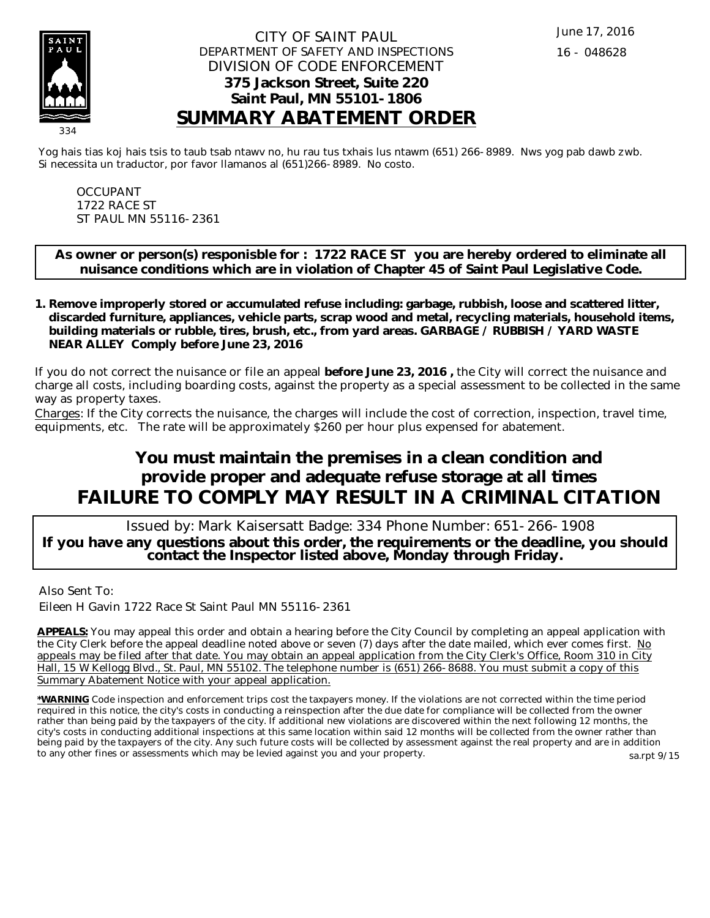

### CITY OF SAINT PAUL DEPARTMENT OF SAFETY AND INSPECTIONS DIVISION OF CODE ENFORCEMENT **375 Jackson Street, Suite 220 Saint Paul, MN 55101-1806 SUMMARY ABATEMENT ORDER**

Yog hais tias koj hais tsis to taub tsab ntawv no, hu rau tus txhais lus ntawm (651) 266-8989. Nws yog pab dawb zwb. Si necessita un traductor, por favor llamanos al (651)266-8989. No costo.

OCCUPANT 1722 RACE ST ST PAUL MN 55116-2361

**As owner or person(s) responisble for : 1722 RACE ST you are hereby ordered to eliminate all nuisance conditions which are in violation of Chapter 45 of Saint Paul Legislative Code.**

**Remove improperly stored or accumulated refuse including: garbage, rubbish, loose and scattered litter, 1. discarded furniture, appliances, vehicle parts, scrap wood and metal, recycling materials, household items, building materials or rubble, tires, brush, etc., from yard areas. GARBAGE / RUBBISH / YARD WASTE NEAR ALLEY Comply before June 23, 2016**

If you do not correct the nuisance or file an appeal **before June 23, 2016 ,** the City will correct the nuisance and charge all costs, including boarding costs, against the property as a special assessment to be collected in the same way as property taxes.

Charges: If the City corrects the nuisance, the charges will include the cost of correction, inspection, travel time, equipments, etc. The rate will be approximately \$260 per hour plus expensed for abatement.

# **You must maintain the premises in a clean condition and provide proper and adequate refuse storage at all times FAILURE TO COMPLY MAY RESULT IN A CRIMINAL CITATION**

 Issued by: Mark Kaisersatt Badge: 334 Phone Number: 651-266-1908 **If you have any questions about this order, the requirements or the deadline, you should contact the Inspector listed above, Monday through Friday.**

Also Sent To:

Eileen H Gavin 1722 Race St Saint Paul MN 55116-2361

**APPEALS:** You may appeal this order and obtain a hearing before the City Council by completing an appeal application with the City Clerk before the appeal deadline noted above or seven (7) days after the date mailed, which ever comes first. No appeals may be filed after that date. You may obtain an appeal application from the City Clerk's Office, Room 310 in City Hall, 15 W Kellogg Blvd., St. Paul, MN 55102. The telephone number is (651) 266-8688. You must submit a copy of this Summary Abatement Notice with your appeal application.

**\*WARNING** Code inspection and enforcement trips cost the taxpayers money. If the violations are not corrected within the time period required in this notice, the city's costs in conducting a reinspection after the due date for compliance will be collected from the owner rather than being paid by the taxpayers of the city. If additional new violations are discovered within the next following 12 months, the city's costs in conducting additional inspections at this same location within said 12 months will be collected from the owner rather than being paid by the taxpayers of the city. Any such future costs will be collected by assessment against the real property and are in addition to any other fines or assessments which may be levied against you and your property. sa.rpt 9/15